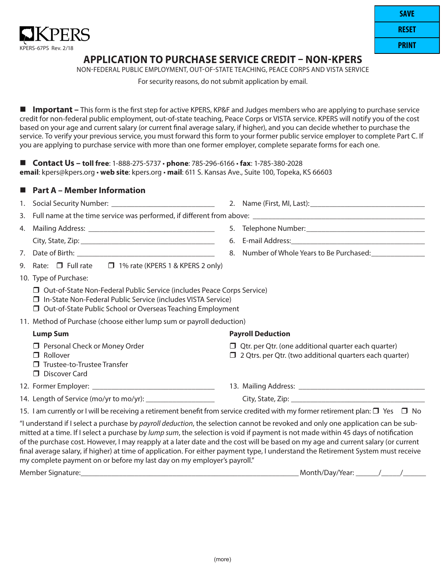

## **APPLICATION TO PURCHASE SERVICE CREDIT – NON-KPERS**

NON-FEDERAL PUBLIC EMPLOYMENT, OUT-OF-STATE TEACHING, PEACE CORPS AND VISTA SERVICE

For security reasons, do not submit application by email.

 **Important –** This form is the first step for active KPERS, KP&F and Judges members who are applying to purchase service credit for non-federal public employment, out-of-state teaching, Peace Corps or VISTA service. KPERS will notify you of the cost based on your age and current salary (or current final average salary, if higher), and you can decide whether to purchase the service. To verify your previous service, you must forward this form to your former public service employer to complete Part C. If you are applying to purchase service with more than one former employer, complete separate forms for each one.

 **Contact Us – toll free**: 1-888-275-5737 • **phone**: 785-296-6166 • **fax**: 1-785-380-2028 **email**: kpers@kpers.org • **web site**: kpers.org • **mail**: 611 S. Kansas Ave., Suite 100, Topeka, KS 66603

### **Part A – Member Information**

|    |                                                                                                                                                                                                                      |  | 8. Number of Whole Years to Be Purchased:                                                                                    |  |  |  |
|----|----------------------------------------------------------------------------------------------------------------------------------------------------------------------------------------------------------------------|--|------------------------------------------------------------------------------------------------------------------------------|--|--|--|
| 9. | Rate: $\Box$ Full rate $\Box$ 1% rate (KPERS 1 & KPERS 2 only)                                                                                                                                                       |  |                                                                                                                              |  |  |  |
|    | 10. Type of Purchase:                                                                                                                                                                                                |  |                                                                                                                              |  |  |  |
|    | □ Out-of-State Non-Federal Public Service (includes Peace Corps Service)<br>$\Box$ In-State Non-Federal Public Service (includes VISTA Service)<br>$\Box$ Out-of-State Public School or Overseas Teaching Employment |  |                                                                                                                              |  |  |  |
|    | 11. Method of Purchase (choose either lump sum or payroll deduction)                                                                                                                                                 |  |                                                                                                                              |  |  |  |
|    | <b>Lump Sum</b>                                                                                                                                                                                                      |  | <b>Payroll Deduction</b>                                                                                                     |  |  |  |
|    | $\Box$ Personal Check or Money Order<br>Rollover<br>п<br>Trustee-to-Trustee Transfer<br>п<br>Discover Card<br>П.                                                                                                     |  | $\Box$ Qtr. per Qtr. (one additional quarter each quarter)<br>$\Box$ 2 Qtrs. per Qtr. (two additional quarters each quarter) |  |  |  |
|    |                                                                                                                                                                                                                      |  |                                                                                                                              |  |  |  |

15. I am currently or I will be receiving a retirement benefit from service credited with my former retirement plan:  $\Box$  Yes  $\Box$  No

14. Length of Service (mo/yr to mo/yr): \_\_\_\_\_\_\_\_\_\_\_\_\_\_\_\_\_\_ City, State, Zip: \_\_\_\_\_\_\_\_\_\_\_\_\_\_\_\_\_\_\_\_\_\_\_\_\_\_\_\_\_\_\_\_\_\_\_

"I understand if I select a purchase by *payroll deduction*, the selection cannot be revoked and only one application can be submitted at a time. If I select a purchase by *lump sum*, the selection is void if payment is not made within 45 days of notification of the purchase cost. However, I may reapply at a later date and the cost will be based on my age and current salary (or current final average salary, if higher) at time of application. For either payment type, I understand the Retirement System must receive my complete payment on or before my last day on my employer's payroll."

Member Signature:\_\_\_\_\_\_\_\_\_\_\_\_\_\_\_\_\_\_\_\_\_\_\_\_\_\_\_\_\_\_\_\_\_\_\_\_\_\_\_\_\_\_\_\_\_\_\_\_\_\_\_\_\_\_\_\_\_ Month/Day/Year: \_\_\_\_\_\_ \_\_\_\_\_ \_\_\_\_\_\_ //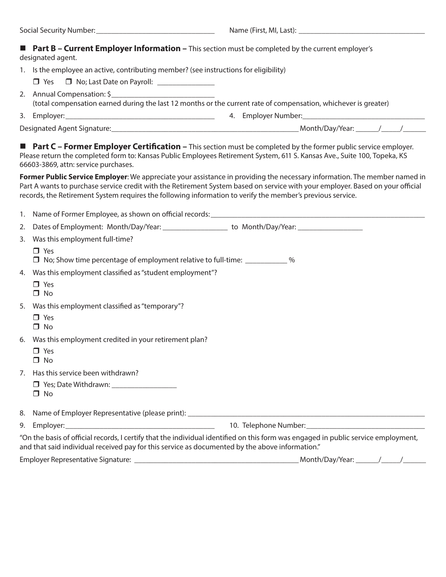#### **Part B – Current Employer Information –** This section must be completed by the current employer's designated agent.

|  | 1. Is the employee an active, contributing member? (see instructions for eligibility) |  |  |  |
|--|---------------------------------------------------------------------------------------|--|--|--|
|--|---------------------------------------------------------------------------------------|--|--|--|

- $\Box$  Yes  $\Box$  No; Last Date on Payroll:
- 2. Annual Compensation: \$ (total compensation earned during the last 12 months or the current rate of compensation, whichever is greater)
- 3. Employer:\_\_\_\_\_\_\_\_\_\_\_\_\_\_\_\_\_\_\_\_\_\_\_\_\_\_\_\_\_\_\_\_\_\_\_\_\_\_\_ 4. Employer Number:\_\_\_\_\_\_\_\_\_\_\_\_\_\_\_\_\_\_\_\_\_\_\_\_\_\_\_\_\_\_\_\_

Designated Agent Signature:\_\_\_\_\_\_\_\_\_\_\_\_\_\_\_\_\_\_\_\_\_\_\_\_\_\_\_\_\_\_\_\_\_\_\_\_\_\_\_\_\_\_\_\_\_\_\_\_\_ Month/Day/Year: \_\_\_\_\_\_ \_\_\_\_\_// \_\_\_\_\_\_

**Part C – Former Employer Certification –** This section must be completed by the former public service employer. Please return the completed form to: Kansas Public Employees Retirement System, 611 S. Kansas Ave., Suite 100, Topeka, KS 66603-3869, attn: service purchases.

**Former Public Service Employer**: We appreciate your assistance in providing the necessary information. The member named in Part A wants to purchase service credit with the Retirement System based on service with your employer. Based on your official records, the Retirement System requires the following information to verify the member's previous service.

| 2.                                                                                                                                                                                                                                    | Dates of Employment: Month/Day/Year: _______________________ to Month/Day/Year: ____________________ |  |  |  |  |
|---------------------------------------------------------------------------------------------------------------------------------------------------------------------------------------------------------------------------------------|------------------------------------------------------------------------------------------------------|--|--|--|--|
| 3.                                                                                                                                                                                                                                    | Was this employment full-time?                                                                       |  |  |  |  |
|                                                                                                                                                                                                                                       | $\Box$ Yes<br>□ No; Show time percentage of employment relative to full-time: ____________%          |  |  |  |  |
|                                                                                                                                                                                                                                       | 4. Was this employment classified as "student employment"?                                           |  |  |  |  |
|                                                                                                                                                                                                                                       | $\Box$ Yes<br>$\Box$ No                                                                              |  |  |  |  |
|                                                                                                                                                                                                                                       | 5. Was this employment classified as "temporary"?                                                    |  |  |  |  |
|                                                                                                                                                                                                                                       | $\Box$ Yes<br>$\Box$ No                                                                              |  |  |  |  |
| 6.                                                                                                                                                                                                                                    | Was this employment credited in your retirement plan?                                                |  |  |  |  |
|                                                                                                                                                                                                                                       | $\Box$ Yes<br>$\Box$ No                                                                              |  |  |  |  |
| $7_{\cdot}$                                                                                                                                                                                                                           | Has this service been withdrawn?                                                                     |  |  |  |  |
|                                                                                                                                                                                                                                       | □ Yes; Date Withdrawn: ___________________<br>No<br>П.                                               |  |  |  |  |
|                                                                                                                                                                                                                                       |                                                                                                      |  |  |  |  |
|                                                                                                                                                                                                                                       |                                                                                                      |  |  |  |  |
| "On the basis of official records, I certify that the individual identified on this form was engaged in public service employment,<br>and that said individual received pay for this service as documented by the above information." |                                                                                                      |  |  |  |  |
|                                                                                                                                                                                                                                       |                                                                                                      |  |  |  |  |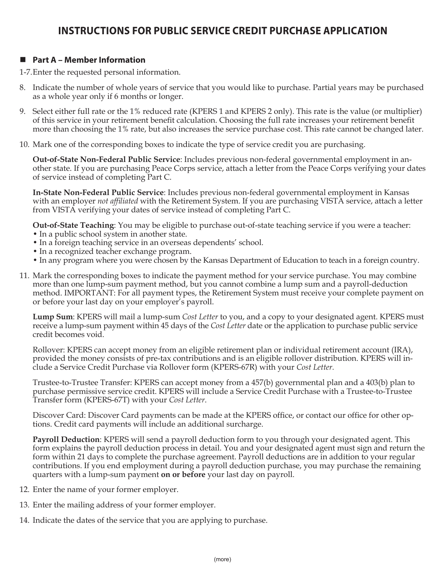# **INSTRUCTIONS FOR PUBLIC SERVICE CREDIT PURCHASE APPLICATION**

## **Part A – Member Information**

1-7.Enter the requested personal information.

- 8. Indicate the number of whole years of service that you would like to purchase. Partial years may be purchased as a whole year only if 6 months or longer.
- 9. Select either full rate or the 1% reduced rate (KPERS 1 and KPERS 2 only). This rate is the value (or multiplier) of this service in your retirement benefit calculation. Choosing the full rate increases your retirement benefit more than choosing the 1% rate, but also increases the service purchase cost. This rate cannot be changed later.
- 10. Mark one of the corresponding boxes to indicate the type of service credit you are purchasing.

**Out-of-State Non-Federal Public Service**: Includes previous non-federal governmental employment in another state. If you are purchasing Peace Corps service, attach a letter from the Peace Corps verifying your dates of service instead of completing Part C.

**In-State Non-Federal Public Service**: Includes previous non-federal governmental employment in Kansas with an employer *not affiliated* with the Retirement System. If you are purchasing VISTA service, attach a letter from VISTA verifying your dates of service instead of completing Part C.

**Out-of-State Teaching**: You may be eligible to purchase out-of-state teaching service if you were a teacher:

- In a public school system in another state.
- In a foreign teaching service in an overseas dependents' school.
- In a recognized teacher exchange program.
- In any program where you were chosen by the Kansas Department of Education to teach in a foreign country.
- 11. Mark the corresponding boxes to indicate the payment method for your service purchase. You may combine more than one lump-sum payment method, but you cannot combine a lump sum and a payroll-deduction method. IMPORTANT: For all payment types, the Retirement System must receive your complete payment on or before your last day on your employer's payroll.

**Lump Sum**: KPERS will mail a lump-sum *Cost Letter* to you, and a copy to your designated agent. KPERS must receive a lump-sum payment within 45 days of the *Cost Letter* date or the application to purchase public service credit becomes void.

Rollover: KPERS can accept money from an eligible retirement plan or individual retirement account (IRA), provided the money consists of pre-tax contributions and is an eligible rollover distribution. KPERS will include a Service Credit Purchase via Rollover form (KPERS-67R) with your *Cost Letter.*

Trustee-to-Trustee Transfer: KPERS can accept money from a 457(b) governmental plan and a 403(b) plan to purchase permissive service credit. KPERS will include a Service Credit Purchase with a Trustee-to-Trustee Transfer form (KPERS-67T) with your *Cost Letter*.

Discover Card: Discover Card payments can be made at the KPERS office, or contact our office for other options. Credit card payments will include an additional surcharge.

**Payroll Deduction**: KPERS will send a payroll deduction form to you through your designated agent. This form explains the payroll deduction process in detail. You and your designated agent must sign and return the form within 21 days to complete the purchase agreement. Payroll deductions are in addition to your regular contributions. If you end employment during a payroll deduction purchase, you may purchase the remaining quarters with a lump-sum payment **on or before** your last day on payroll.

- 12. Enter the name of your former employer.
- 13. Enter the mailing address of your former employer.
- 14. Indicate the dates of the service that you are applying to purchase.